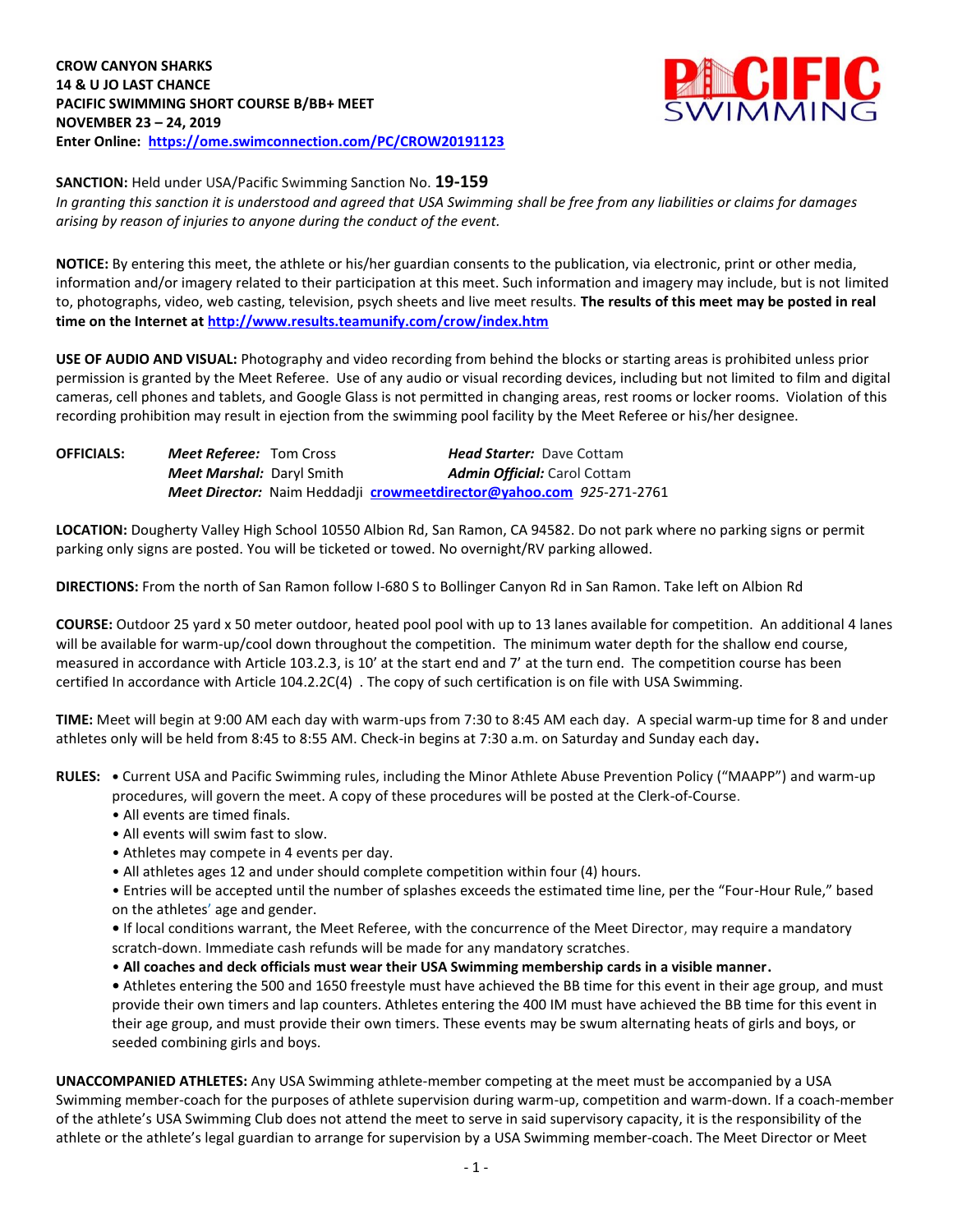**CROW CANYON SHARKS 14 & U JO LAST CHANCE PACIFIC SWIMMING SHORT COURSE B/BB+ MEET NOVEMBER 23 – 24, 2019 Enter Online: <https://ome.swimconnection.com/PC/CROW20191123>**

*arising by reason of injuries to anyone during the conduct of the event.*



**SANCTION:** Held under USA/Pacific Swimming Sanction No. **19-159** *In granting this sanction it is understood and agreed that USA Swimming shall be free from any liabilities or claims for damages* 

**NOTICE:** By entering this meet, the athlete or his/her guardian consents to the publication, via electronic, print or other media, information and/or imagery related to their participation at this meet. Such information and imagery may include, but is not limited to, photographs, video, web casting, television, psych sheets and live meet results. **The results of this meet may be posted in real time on the Internet at <http://www.results.teamunify.com/crow/index.htm>**

**USE OF AUDIO AND VISUAL:** Photography and video recording from behind the blocks or starting areas is prohibited unless prior permission is granted by the Meet Referee. Use of any audio or visual recording devices, including but not limited to film and digital cameras, cell phones and tablets, and Google Glass is not permitted in changing areas, rest rooms or locker rooms. Violation of this recording prohibition may result in ejection from the swimming pool facility by the Meet Referee or his/her designee.

**OFFICIALS:** *Meet Referee:* Tom Cross *Head Starter:* Dave Cottam *Meet Marshal: Daryl Smith Admin Official: Carol Cottam Meet Director:* Naim Heddadji **[crowmeetdirector@yahoo.com](mailto:crowmeetdirector@yahoo.com)** *925-*271-2761

**LOCATION:** Dougherty Valley High School 10550 Albion Rd, San Ramon, CA 94582. Do not park where no parking signs or permit parking only signs are posted. You will be ticketed or towed. No overnight/RV parking allowed.

**DIRECTIONS:** From the north of San Ramon follow I-680 S to Bollinger Canyon Rd in San Ramon. Take left on Albion Rd

**COURSE:** Outdoor 25 yard x 50 meter outdoor, heated pool pool with up to 13 lanes available for competition.An additional 4 lanes will be available for warm-up/cool down throughout the competition. The minimum water depth for the shallow end course, measured in accordance with Article 103.2.3, is 10' at the start end and 7' at the turn end. The competition course has been certified In accordance with Article 104.2.2C(4) . The copy of such certification is on file with USA Swimming.

**TIME:** Meet will begin at 9:00 AM each day with warm-ups from 7:30 to 8:45 AM each day. A special warm-up time for 8 and under athletes only will be held from 8:45 to 8:55 AM. Check-in begins at 7:30 a.m. on Saturday and Sunday each day**.**

**RULES: •** Current USA and Pacific Swimming rules, including the Minor Athlete Abuse Prevention Policy ("MAAPP") and warm-up procedures, will govern the meet. A copy of these procedures will be posted at the Clerk-of-Course.

- All events are timed finals.
- All events will swim fast to slow.
- Athletes may compete in 4 events per day.
- All athletes ages 12 and under should complete competition within four (4) hours.

• Entries will be accepted until the number of splashes exceeds the estimated time line, per the "Four-Hour Rule," based on the athletes' age and gender.

**•** If local conditions warrant, the Meet Referee, with the concurrence of the Meet Director, may require a mandatory scratch-down. Immediate cash refunds will be made for any mandatory scratches.

• **All coaches and deck officials must wear their USA Swimming membership cards in a visible manner.** 

**•** Athletes entering the 500 and 1650 freestyle must have achieved the BB time for this event in their age group, and must provide their own timers and lap counters. Athletes entering the 400 IM must have achieved the BB time for this event in their age group, and must provide their own timers. These events may be swum alternating heats of girls and boys, or seeded combining girls and boys.

**UNACCOMPANIED ATHLETES:** Any USA Swimming athlete-member competing at the meet must be accompanied by a USA Swimming member-coach for the purposes of athlete supervision during warm-up, competition and warm-down. If a coach-member of the athlete's USA Swimming Club does not attend the meet to serve in said supervisory capacity, it is the responsibility of the athlete or the athlete's legal guardian to arrange for supervision by a USA Swimming member-coach. The Meet Director or Meet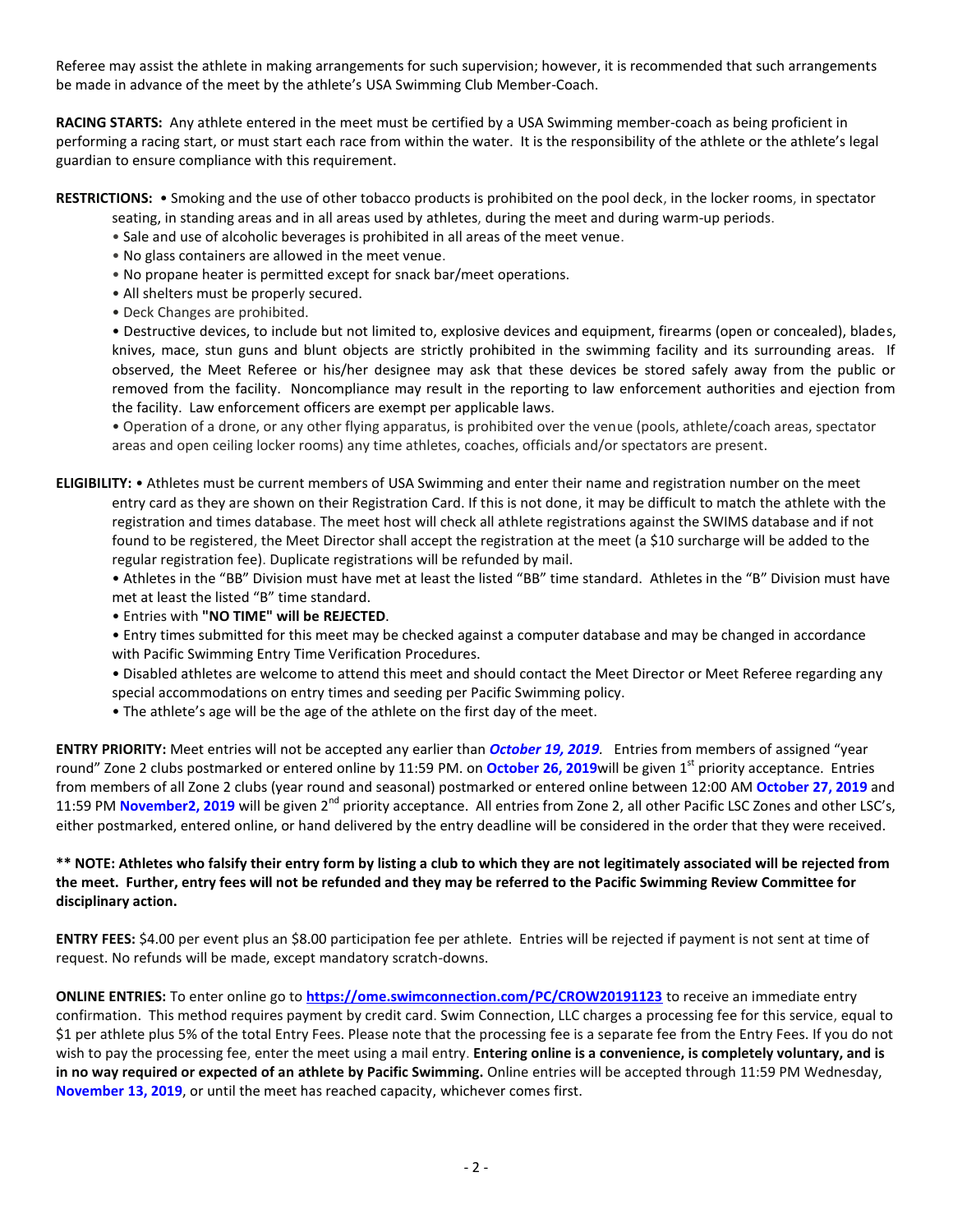Referee may assist the athlete in making arrangements for such supervision; however, it is recommended that such arrangements be made in advance of the meet by the athlete's USA Swimming Club Member-Coach.

**RACING STARTS:** Any athlete entered in the meet must be certified by a USA Swimming member-coach as being proficient in performing a racing start, or must start each race from within the water. It is the responsibility of the athlete or the athlete's legal guardian to ensure compliance with this requirement.

**RESTRICTIONS:** • Smoking and the use of other tobacco products is prohibited on the pool deck, in the locker rooms, in spectator

- seating, in standing areas and in all areas used by athletes, during the meet and during warm-up periods.
- Sale and use of alcoholic beverages is prohibited in all areas of the meet venue.
- No glass containers are allowed in the meet venue.
- No propane heater is permitted except for snack bar/meet operations.
- All shelters must be properly secured.
- Deck Changes are prohibited.

• Destructive devices, to include but not limited to, explosive devices and equipment, firearms (open or concealed), blades, knives, mace, stun guns and blunt objects are strictly prohibited in the swimming facility and its surrounding areas. If observed, the Meet Referee or his/her designee may ask that these devices be stored safely away from the public or removed from the facility. Noncompliance may result in the reporting to law enforcement authorities and ejection from the facility. Law enforcement officers are exempt per applicable laws.

• Operation of a drone, or any other flying apparatus, is prohibited over the venue (pools, athlete/coach areas, spectator areas and open ceiling locker rooms) any time athletes, coaches, officials and/or spectators are present.

**ELIGIBILITY:** • Athletes must be current members of USA Swimming and enter their name and registration number on the meet entry card as they are shown on their Registration Card. If this is not done, it may be difficult to match the athlete with the registration and times database. The meet host will check all athlete registrations against the SWIMS database and if not found to be registered, the Meet Director shall accept the registration at the meet (a \$10 surcharge will be added to the regular registration fee). Duplicate registrations will be refunded by mail.

• Athletes in the "BB" Division must have met at least the listed "BB" time standard. Athletes in the "B" Division must have met at least the listed "B" time standard.

• Entries with **"NO TIME" will be REJECTED**.

- Entry times submitted for this meet may be checked against a computer database and may be changed in accordance with Pacific Swimming Entry Time Verification Procedures.
- Disabled athletes are welcome to attend this meet and should contact the Meet Director or Meet Referee regarding any
- special accommodations on entry times and seeding per Pacific Swimming policy.
- The athlete's age will be the age of the athlete on the first day of the meet.

**ENTRY PRIORITY:** Meet entries will not be accepted any earlier than *October 19, 2019.* Entries from members of assigned "year round" Zone 2 clubs postmarked or entered online by 11:59 PM. on **October 26, 2019**will be given 1<sup>st</sup> priority acceptance. Entries from members of all Zone 2 clubs (year round and seasonal) postmarked or entered online between 12:00 AM **October 27, 2019** and 11:59 PM November2, 2019 will be given 2<sup>nd</sup> priority acceptance. All entries from Zone 2, all other Pacific LSC Zones and other LSC's, either postmarked, entered online, or hand delivered by the entry deadline will be considered in the order that they were received.

## **\*\* NOTE: Athletes who falsify their entry form by listing a club to which they are not legitimately associated will be rejected from the meet. Further, entry fees will not be refunded and they may be referred to the Pacific Swimming Review Committee for disciplinary action.**

**ENTRY FEES:** \$4.00 per event plus an \$8.00 participation fee per athlete. Entries will be rejected if payment is not sent at time of request. No refunds will be made, except mandatory scratch-downs.

**ONLINE ENTRIES:** To enter online go to **<https://ome.swimconnection.com/PC/CROW20191123>** to receive an immediate entry confirmation. This method requires payment by credit card. Swim Connection, LLC charges a processing fee for this service, equal to \$1 per athlete plus 5% of the total Entry Fees. Please note that the processing fee is a separate fee from the Entry Fees. If you do not wish to pay the processing fee, enter the meet using a mail entry. **Entering online is a convenience, is completely voluntary, and is in no way required or expected of an athlete by Pacific Swimming.** Online entries will be accepted through 11:59 PM Wednesday, **November 13, 2019**, or until the meet has reached capacity, whichever comes first.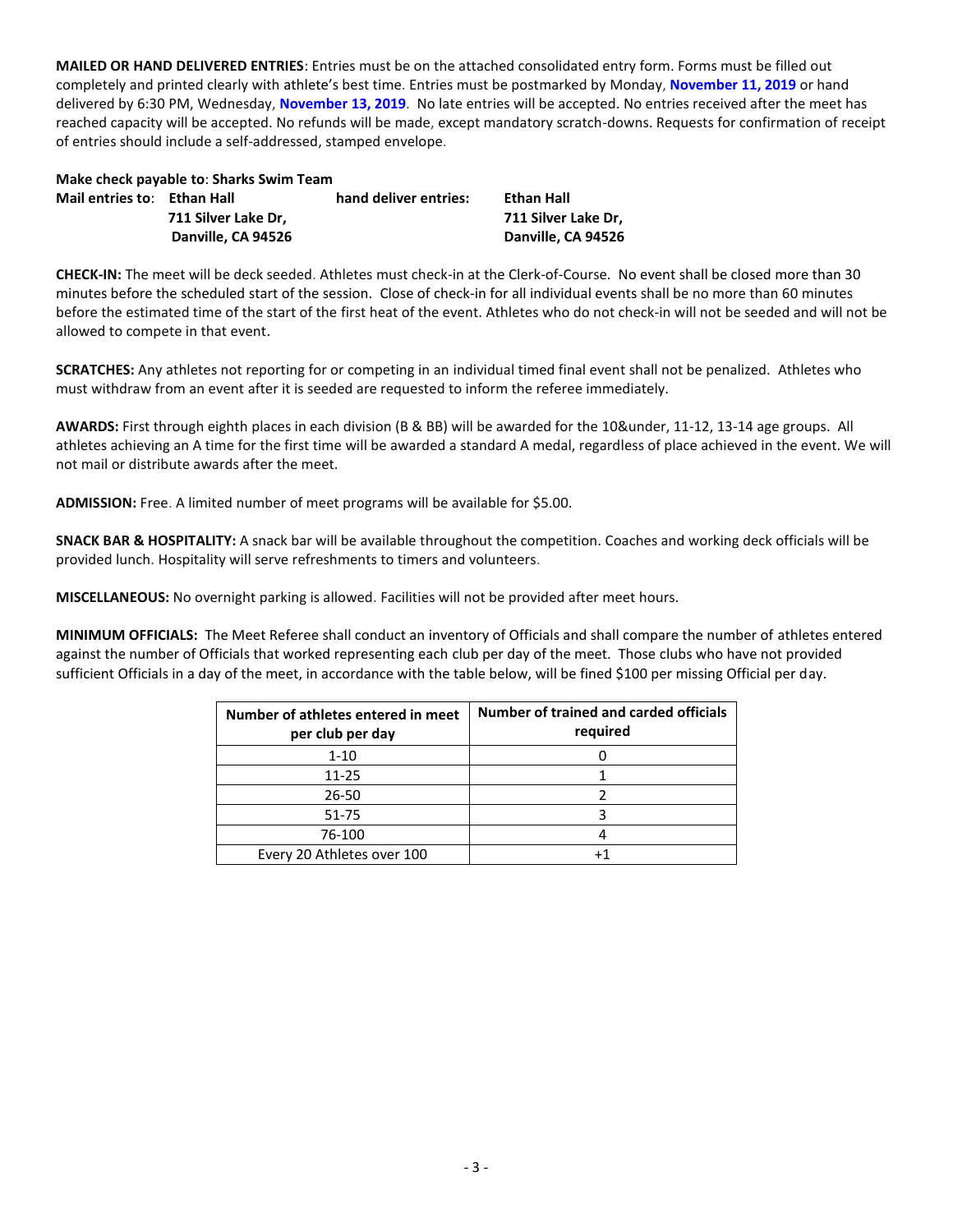**MAILED OR HAND DELIVERED ENTRIES**: Entries must be on the attached consolidated entry form. Forms must be filled out completely and printed clearly with athlete's best time. Entries must be postmarked by Monday, **November 11, 2019** or hand delivered by 6:30 PM, Wednesday, **November 13, 2019**. No late entries will be accepted. No entries received after the meet has reached capacity will be accepted. No refunds will be made, except mandatory scratch-downs. Requests for confirmation of receipt of entries should include a self-addressed, stamped envelope.

|                             | Make check payable to: Sharks Swim Team |                       |                     |
|-----------------------------|-----------------------------------------|-----------------------|---------------------|
| Mail entries to: Ethan Hall |                                         | hand deliver entries: | Ethan Hall          |
|                             | 711 Silver Lake Dr.                     |                       | 711 Silver Lake Dr. |
|                             | Danville, CA 94526                      |                       | Danville, CA 94526  |
|                             |                                         |                       |                     |

**CHECK-IN:** The meet will be deck seeded. Athletes must check-in at the Clerk-of-Course. No event shall be closed more than 30 minutes before the scheduled start of the session. Close of check-in for all individual events shall be no more than 60 minutes before the estimated time of the start of the first heat of the event. Athletes who do not check-in will not be seeded and will not be allowed to compete in that event.

**SCRATCHES:** Any athletes not reporting for or competing in an individual timed final event shall not be penalized. Athletes who must withdraw from an event after it is seeded are requested to inform the referee immediately.

**AWARDS:** First through eighth places in each division (B & BB) will be awarded for the 10&under, 11-12, 13-14 age groups. All athletes achieving an A time for the first time will be awarded a standard A medal, regardless of place achieved in the event. We will not mail or distribute awards after the meet.

**ADMISSION:** Free. A limited number of meet programs will be available for \$5.00.

**SNACK BAR & HOSPITALITY:** A snack bar will be available throughout the competition. Coaches and working deck officials will be provided lunch. Hospitality will serve refreshments to timers and volunteers.

**MISCELLANEOUS:** No overnight parking is allowed. Facilities will not be provided after meet hours.

**MINIMUM OFFICIALS:** The Meet Referee shall conduct an inventory of Officials and shall compare the number of athletes entered against the number of Officials that worked representing each club per day of the meet. Those clubs who have not provided sufficient Officials in a day of the meet, in accordance with the table below, will be fined \$100 per missing Official per day.

| Number of athletes entered in meet<br>per club per day | Number of trained and carded officials<br>required |
|--------------------------------------------------------|----------------------------------------------------|
| $1 - 10$                                               |                                                    |
| 11-25                                                  |                                                    |
| $26 - 50$                                              |                                                    |
| 51-75                                                  |                                                    |
| 76-100                                                 |                                                    |
| Every 20 Athletes over 100                             |                                                    |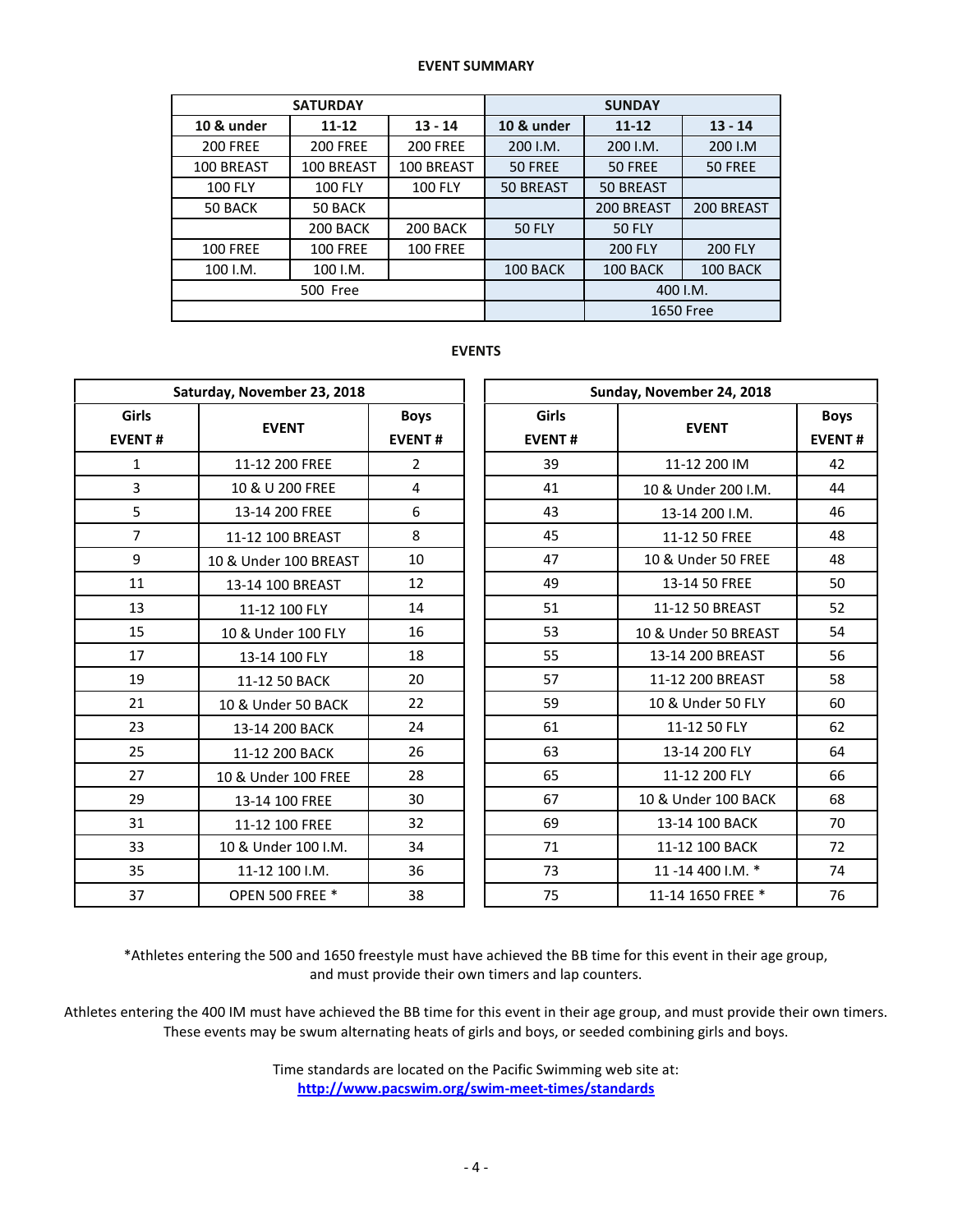## **EVENT SUMMARY**

|                 | <b>SATURDAY</b>        |                 | <b>SUNDAY</b>    |                  |                |  |  |
|-----------------|------------------------|-----------------|------------------|------------------|----------------|--|--|
| 10 & under      | $13 - 14$<br>$11 - 12$ |                 | 10 & under       | $11 - 12$        | $13 - 14$      |  |  |
| <b>200 FREE</b> | <b>200 FREE</b>        | <b>200 FREE</b> | 200 I.M.         | 200 I.M.         | 200 I.M        |  |  |
| 100 BREAST      | 100 BREAST             | 100 BREAST      | 50 FREE          | 50 FREE          | 50 FREE        |  |  |
| <b>100 FLY</b>  | <b>100 FLY</b>         | <b>100 FLY</b>  | <b>50 BREAST</b> | <b>50 BREAST</b> |                |  |  |
| 50 BACK         | 50 BACK                |                 |                  | 200 BREAST       | 200 BREAST     |  |  |
|                 | 200 BACK               | 200 BACK        | <b>50 FLY</b>    | <b>50 FLY</b>    |                |  |  |
| <b>100 FREE</b> | <b>100 FREE</b>        | <b>100 FREE</b> |                  | <b>200 FLY</b>   | <b>200 FLY</b> |  |  |
| 100 I.M.        | 100 I.M.               |                 | 100 BACK         | 100 BACK         | 100 BACK       |  |  |
|                 | 500 Free               |                 |                  | 400 I.M.         |                |  |  |
|                 |                        |                 |                  |                  | 1650 Free      |  |  |

## **EVENTS**

|                        | Saturday, November 23, 2018 |                              | Sunday, November 24, 2018     |                      |                              |  |  |  |
|------------------------|-----------------------------|------------------------------|-------------------------------|----------------------|------------------------------|--|--|--|
| Girls<br><b>EVENT#</b> | <b>EVENT</b>                | <b>Boys</b><br><b>EVENT#</b> | <b>Girls</b><br><b>EVENT#</b> | <b>EVENT</b>         | <b>Boys</b><br><b>EVENT#</b> |  |  |  |
| 1                      | 11-12 200 FREE              | $\overline{2}$               | 39                            | 11-12 200 IM         | 42                           |  |  |  |
| 3                      | 10 & U 200 FREE             | $\overline{4}$               | 41                            | 10 & Under 200 I.M.  | 44                           |  |  |  |
| 5                      | 13-14 200 FREE              | 6                            | 43                            | 13-14 200 I.M.       | 46                           |  |  |  |
| $\overline{7}$         | 11-12 100 BREAST            | 8                            | 45                            | 11-12 50 FREE        | 48                           |  |  |  |
| 9                      | 10 & Under 100 BREAST       | 10                           | 47                            | 10 & Under 50 FREE   | 48                           |  |  |  |
| 11                     | 13-14 100 BREAST            | 12                           | 49                            | 13-14 50 FREE        | 50                           |  |  |  |
| 13                     | 11-12 100 FLY               | 14                           | 51                            | 11-12 50 BREAST      | 52                           |  |  |  |
| 15                     | 10 & Under 100 FLY          | 16                           | 53                            | 10 & Under 50 BREAST | 54                           |  |  |  |
| 17                     | 13-14 100 FLY               | 18                           | 55                            | 13-14 200 BREAST     | 56                           |  |  |  |
| 19                     | 11-12 50 BACK               | 20                           | 57                            | 11-12 200 BREAST     | 58                           |  |  |  |
| 21                     | 10 & Under 50 BACK          | 22                           | 59                            | 10 & Under 50 FLY    | 60                           |  |  |  |
| 23                     | 13-14 200 BACK              | 24                           | 61                            | 11-12 50 FLY         | 62                           |  |  |  |
| 25                     | 11-12 200 BACK              | 26                           | 63                            | 13-14 200 FLY        | 64                           |  |  |  |
| 27                     | 10 & Under 100 FREE         | 28                           | 65                            | 11-12 200 FLY        | 66                           |  |  |  |
| 29                     | 13-14 100 FREE              | 30                           | 67                            | 10 & Under 100 BACK  | 68                           |  |  |  |
| 31                     | 11-12 100 FREE              | 32                           | 69                            | 13-14 100 BACK       | 70                           |  |  |  |
| 33                     | 10 & Under 100 I.M.         | 34                           | 71                            | 11-12 100 BACK       | 72                           |  |  |  |
| 35                     | 11-12 100 I.M.              | 36                           | 73                            | 11-14 400 I.M. *     | 74                           |  |  |  |
| 37                     | <b>OPEN 500 FREE *</b>      | 38                           | 75                            | 11-14 1650 FREE *    | 76                           |  |  |  |

\*Athletes entering the 500 and 1650 freestyle must have achieved the BB time for this event in their age group, and must provide their own timers and lap counters.

Athletes entering the 400 IM must have achieved the BB time for this event in their age group, and must provide their own timers. These events may be swum alternating heats of girls and boys, or seeded combining girls and boys.

> Time standards are located on the Pacific Swimming web site at: **<http://www.pacswim.org/swim-meet-times/standards>**